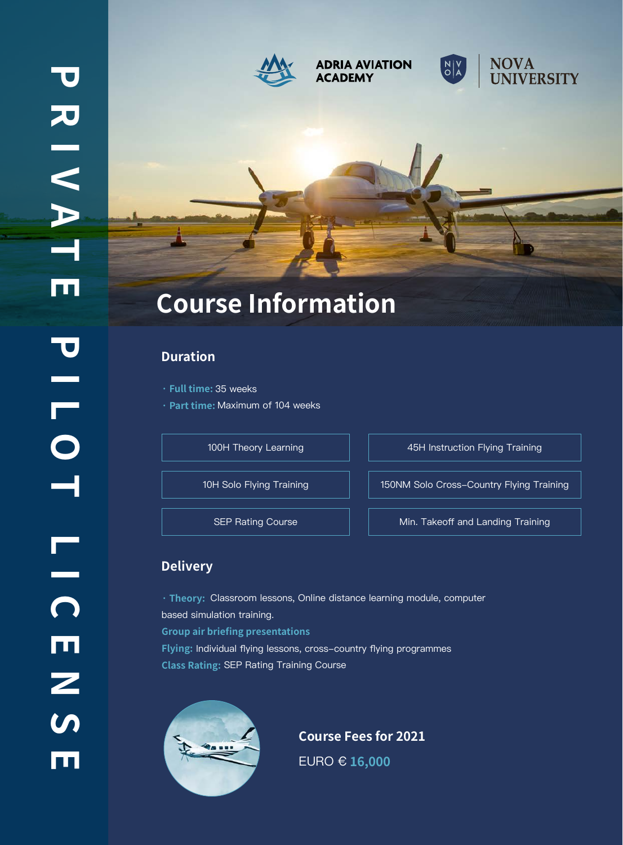

#### **ADRIA AVIATION ACADEMY**





# **Course Information**

#### **Duration**

- **· Full time:** 35 weeks
- **· Part time:** Maximum of 104 weeks

100H Theory Learning **100H** 100H Theory Learning

10H Solo Flying Training 150NM Solo Cross-Country Flying Training

SEP Rating Course  $\parallel$   $\parallel$  Min. Takeoff and Landing Training

## **Delivery**

**· Theory:** Classroom lessons, Online distance learning module, computer based simulation training. **Group air briefing presentations Flying:** Individual flying lessons, cross-country flying programmes **Class Rating:** SEP Rating Training Course



**Course Fees for 2021** EURO € **16,000**